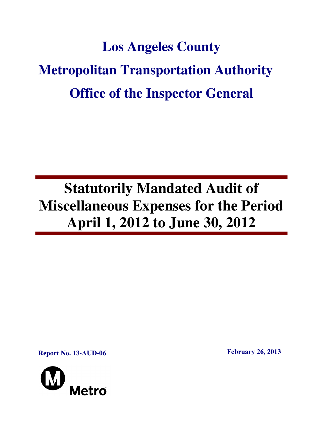# **Los Angeles County Metropolitan Transportation Authority Office of the Inspector General**

## **Statutorily Mandated Audit of Miscellaneous Expenses for the Period April 1, 2012 to June 30, 2012**

**Report No. 13-AUD-06 February 26, 2013** 

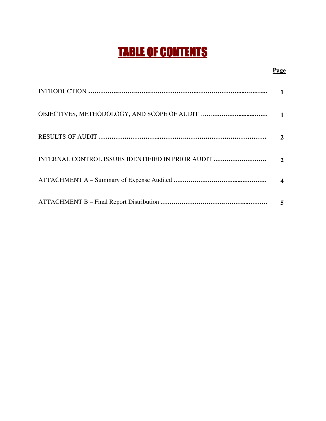## TABLE OF CONTENTS

#### **Page**

|                                                   | $\mathbf{1}$          |
|---------------------------------------------------|-----------------------|
|                                                   | 2                     |
| INTERNAL CONTROL ISSUES IDENTIFIED IN PRIOR AUDIT | $\mathcal{D}_{\cdot}$ |
|                                                   | $\boldsymbol{\Delta}$ |
|                                                   |                       |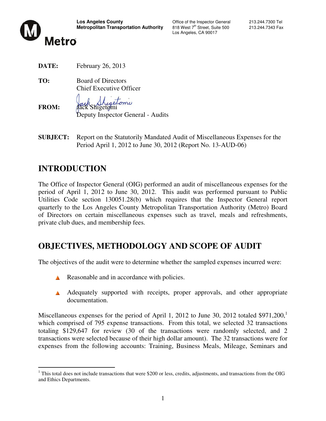

Los Angeles, CA 90017

**DATE:** February 26, 2013

**TO:** Board of Directors Chief Executive Officer

retorni

Deputy Inspector General - Audits

**SUBJECT:** Report on the Statutorily Mandated Audit of Miscellaneous Expenses for the Period April 1, 2012 to June 30, 2012 (Report No. 13-AUD-06)

## **INTRODUCTION**

**FROM:** 

The Office of Inspector General (OIG) performed an audit of miscellaneous expenses for the period of April 1, 2012 to June 30, 2012. This audit was performed pursuant to Public Utilities Code section 130051.28(b) which requires that the Inspector General report quarterly to the Los Angeles County Metropolitan Transportation Authority (Metro) Board of Directors on certain miscellaneous expenses such as travel, meals and refreshments, private club dues, and membership fees.

## **OBJECTIVES, METHODOLOGY AND SCOPE OF AUDIT**

The objectives of the audit were to determine whether the sampled expenses incurred were:

- Reasonable and in accordance with policies.
- A Adequately supported with receipts, proper approvals, and other appropriate documentation.

Miscellaneous expenses for the period of April 1, 2012 to June 30, 2012 totaled  $$971,200$ ,<sup>1</sup> which comprised of 795 expense transactions. From this total, we selected 32 transactions totaling \$129,647 for review (30 of the transactions were randomly selected, and 2 transactions were selected because of their high dollar amount). The 32 transactions were for expenses from the following accounts: Training, Business Meals, Mileage, Seminars and

<sup>&</sup>lt;sup>1</sup>This total does not include transactions that were \$200 or less, credits, adjustments, and transactions from the OIG and Ethics Departments.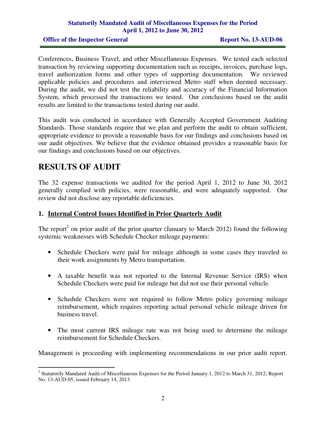#### **Statutorily Mandated Audit of Miscellaneous Expenses for the Period April 1, 2012 to June 30, 2012**

**Office of the Inspector General Report No. 13-AUD-06** 

Conferences, Business Travel, and other Miscellaneous Expenses. We tested each selected transaction by reviewing supporting documentation such as receipts, invoices, purchase logs, travel authorization forms and other types of supporting documentation. We reviewed applicable policies and procedures and interviewed Metro staff when deemed necessary. During the audit, we did not test the reliability and accuracy of the Financial Information System, which processed the transactions we tested. Our conclusions based on the audit results are limited to the transactions tested during our audit.

This audit was conducted in accordance with Generally Accepted Government Auditing Standards. Those standards require that we plan and perform the audit to obtain sufficient, appropriate evidence to provide a reasonable basis for our findings and conclusions based on our audit objectives. We believe that the evidence obtained provides a reasonable basis for our findings and conclusions based on our objectives.

## **RESULTS OF AUDIT**

The 32 expense transactions we audited for the period April 1, 2012 to June 30, 2012 generally complied with policies, were reasonable, and were adequately supported. Our review did not disclose any reportable deficiencies.

#### **1. Internal Control Issues Identified in Prior Quarterly Audit**

The report<sup>2</sup> on prior audit of the prior quarter (January to March 2012) found the following systemic weaknesses with Schedule Checker mileage payments:

- Schedule Checkers were paid for mileage although in some cases they traveled to their work assignments by Metro transportation.
- A taxable benefit was not reported to the Internal Revenue Service (IRS) when Schedule Checkers were paid for mileage but did not use their personal vehicle.
- Schedule Checkers were not required to follow Metro policy governing mileage reimbursement, which requires reporting actual personal vehicle mileage driven for business travel.
- The most current IRS mileage rate was not being used to determine the mileage reimbursement for Schedule Checkers.

Management is proceeding with implementing recommendations in our prior audit report.

<sup>&</sup>lt;sup>2</sup> Statutorily Mandated Audit of Miscellaneous Expenses for the Period January 1, 2012 to March 31, 2012; Report No. 13-AUD-05, issued February 14, 2013.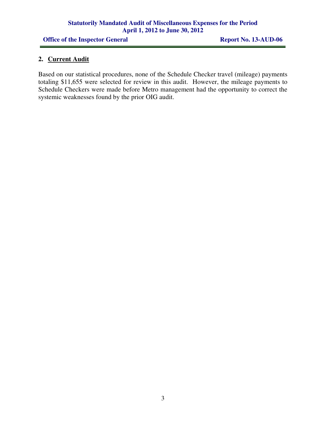#### **Statutorily Mandated Audit of Miscellaneous Expenses for the Period April 1, 2012 to June 30, 2012**

**Office of the Inspector General Report No. 13-AUD-06** 

#### **2. Current Audit**

Based on our statistical procedures, none of the Schedule Checker travel (mileage) payments totaling \$11,655 were selected for review in this audit. However, the mileage payments to Schedule Checkers were made before Metro management had the opportunity to correct the systemic weaknesses found by the prior OIG audit.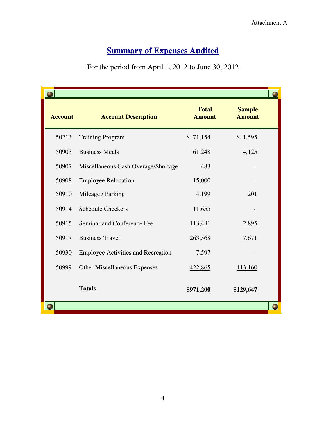## **<u>Summary of Expenses Audited</u>**

#### For the period from April 1, 2012 to June 30, 2012

| <b>Account</b> | <b>Account Description</b>                | <b>Total</b><br><b>Amount</b> | <b>Sample</b><br><b>Amount</b> |  |
|----------------|-------------------------------------------|-------------------------------|--------------------------------|--|
| 50213          | <b>Training Program</b>                   | \$71,154                      | \$1,595                        |  |
| 50903          | <b>Business Meals</b>                     | 61,248                        | 4,125                          |  |
| 50907          | Miscellaneous Cash Overage/Shortage       | 483                           |                                |  |
| 50908          | <b>Employee Relocation</b>                | 15,000                        |                                |  |
| 50910          | Mileage / Parking                         | 4,199                         | 201                            |  |
| 50914          | <b>Schedule Checkers</b>                  | 11,655                        |                                |  |
| 50915          | Seminar and Conference Fee                | 113,431                       | 2,895                          |  |
| 50917          | <b>Business Travel</b>                    | 263,568                       | 7,671                          |  |
| 50930          | <b>Employee Activities and Recreation</b> | 7,597                         |                                |  |
| 50999          | <b>Other Miscellaneous Expenses</b>       | 422,865                       | 113,160                        |  |
|                | <b>Totals</b>                             | \$971,200                     | <u>\$129,647</u>               |  |
|                |                                           |                               |                                |  |